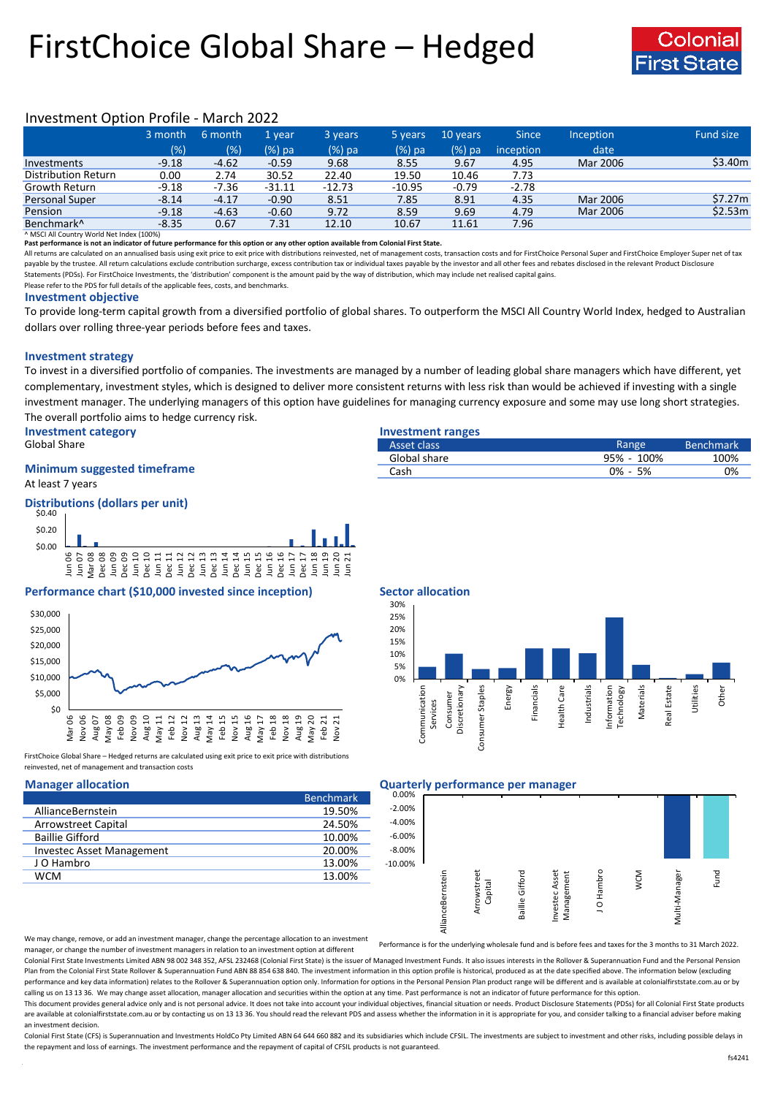# FirstChoice Global Share – Hedged



## Investment Option Profile - March 2022

|                            | 3 month | 6 month | '1 vear  | 3 years  | 5 years  | 10 years | <b>Since</b> | <b>Inception</b> | Fund size |
|----------------------------|---------|---------|----------|----------|----------|----------|--------------|------------------|-----------|
|                            | (% )    | (%)     | $(%)$ pa | (%) pa   | $(%)$ pa | $(%)$ pa | inception    | date             |           |
| Investments                | $-9.18$ | $-4.62$ | $-0.59$  | 9.68     | 8.55     | 9.67     | 4.95         | Mar 2006         | \$3.40m   |
| <b>Distribution Return</b> | 0.00    | 2.74    | 30.52    | 22.40    | 19.50    | 10.46    | 7.73         |                  |           |
| Growth Return              | $-9.18$ | $-7.36$ | $-31.11$ | $-12.73$ | $-10.95$ | $-0.79$  | $-2.78$      |                  |           |
| Personal Super             | $-8.14$ | $-4.17$ | $-0.90$  | 8.51     | 7.85     | 8.91     | 4.35         | Mar 2006         | \$7.27m   |
| Pension                    | $-9.18$ | $-4.63$ | $-0.60$  | 9.72     | 8.59     | 9.69     | 4.79         | Mar 2006         | \$2.53m   |
| Benchmark <sup>^</sup>     | $-8.35$ | 0.67    | 7.31     | 12.10    | 10.67    | 11.61    | 7.96         |                  |           |

^ MSCI All Country World Net Index (100%)

**Past performance is not an indicator of future performance for this option or any other option available from Colonial First State.**

All returns are calculated on an annualised basis using exit price to exit price with distributions reinvested, net of management costs, transaction costs and for FirstChoice Personal Super and FirstChoice Employer Super n payable by the trustee. All return calculations exclude contribution surcharge, excess contribution tax or individual taxes payable by the investor and all other fees and rebates disclosed in the relevant Product Disclosur Statements (PDSs). For FirstChoice Investments, the 'distribution' component is the amount paid by the way of distribution, which may include net realised capital gains.

Please refer to the PDS for full details of the applicable fees, costs, and benchmarks.

### **Investment objective**

To provide long-term capital growth from a diversified portfolio of global shares. To outperform the MSCI All Country World Index, hedged to Australian dollars over rolling three-year periods before fees and taxes.

### **Investment strategy**

To invest in a diversified portfolio of companies. The investments are managed by a number of leading global share managers which have different, yet complementary, investment styles, which is designed to deliver more consistent returns with less risk than would be achieved if investing with a single investment manager. The underlying managers of this option have guidelines for managing currency exposure and some may use long short strategies. The overall portfolio aims to hedge currency risk.

**Investment category Investment ranges** Global Share **Range Community Community Community** Community Asset class

# **Minimum suggested timeframe**

At least 7 years

### **Distributions (dollars per unit)**



### **Performance chart (\$10,000 invested since inception) Sector allocation**



FirstChoice Global Share - Hedged returns are calculated using exit price to exit price with distributions reinvested, net of management and transaction costs

|                            | <b>Benchmark</b> |
|----------------------------|------------------|
| AllianceBernstein          | 19.50%           |
| <b>Arrowstreet Capital</b> | 24.50%           |
| <b>Baillie Gifford</b>     | 10.00%           |
| Investec Asset Management  | 20.00%           |
| J O Hambro                 | 13.00%           |
| <b>WCM</b>                 | 13.00%           |



Asset class **Asset class** Benchmark **Asset class** Benchmark **Bullet Constant Constant Constant Constant Constant Constant Constant Constant Constant Constant Constant Constant Constant Constant Constant Constant Constant C** Global share 100% 100% 100% 100% Cash 0% - 5% 0%

### **Manager allocation Quarterly performance per manager**



We may change, remove, or add an investment manager, change the percentage allocation to an investment manager, or change the number of investment managers in relation to an investment option at different

Performance is for the underlying wholesale fund and is before fees and taxes for the 3 months to 31 March 2022.

Colonial First State Investments Limited ABN 98 002 348 352, AFSL 232468 (Colonial First State) is the issuer of Managed Investment Funds. It also issues interests in the Rollover & Superannuation Fund and the Personal Pen Plan from the Colonial First State Rollover & Superannuation Fund ABN 88 854 638 840. The investment information in this option profile is historical, produced as at the date specified above. The information below (excludi performance and key data information) relates to the Rollover & Superannuation option only. Information for options in the Personal Pension Plan product range will be different and is available at colonialfirststate.com.au calling us on 13 13 36. We may change asset allocation, manager allocation and securities within the option at any time. Past performance is not an indicator of future performance for this option

This document provides general advice only and is not personal advice. It does not take into account your individual objectives, financial situation or needs. Product Disclosure Statements (PDSs) for all Colonial First Sta are available at colonialfirststate.com.au or by contacting us on 13 13 36. You should read the relevant PDS and assess whether the information in it is appropriate for you, and consider talking to a financial adviser befo an investment decision.

Colonial First State (CFS) is Superannuation and Investments HoldCo Ptv Limited ABN 64 644 660 882 and its subsidiaries which include CFSIL. The investments are subject to investment and other risks, including possible del the repayment and loss of earnings. The investment performance and the repayment of capital of CFSIL products is not guaranteed.